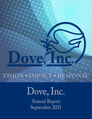VISION **•** IMPACT **•** RESPONSE

# Dove, Inc. Annual Report September 2021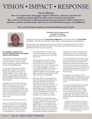## VISION **•** IMPACT **•** RESPONSE

### *Dove's Mission*

*Dove is an organization that engages religious institutions, volunteers, and advocates seeking to coordinate efforts to address unmet needs and social injustices. These needs are met through coordinated programs focusing on domestic violence, homelessness, education, volunteer and community empowerment, and individual emergency need fulfillment.* 

*Dove works for justice, equality, and understanding among all people.*



*Dedicated to, and in loving memory of, Raymond "Ray" Batman July 16, 1944 ~ June 29, 2021*

Fred Spannaus shared this *Anniversary Reflection* for the December 2020 *DoveTales*  Newsletter. We felt it was fitting to share again, in remembrance of Ray Batman.

It gives a first hand glimpse into the vision of the first employees of Dove and the founding Disciples of Christ Churches. Their vision was far-reaching and is great guidance for what we do each day.

#### **Orts, Revisited - reprint from the December 2020 DoveTales in recognition of Dove's 50th Anniversary**

I don't know how many times I heard it. It was the summer of 1970. I was newly arrived in Decatur. I came as a freelance community organizer, working the Torrence Park neighborhood.

During my first few weeks on the job, people kept saying it. "Fred, there's this guy you need to meet, down at the First Christian Church. Name's Ray Batman." Finally I picked up the phone and arranged to drive my shaky pink Plymouth Valiant downtown to 441 North Church Street.

He greeted me at the door. We shook hands and wound our way down the hall to a cluttered storeroom in the basement. It was Dove's first office, and he was its only employee. He and I had started our new jobs within days of each other at the tail end of June. We had that in common, and as it turned out, much more.

What he said that day stuck with me.

Memory is a tricky thing, and it's been a very long time. But in my recollection, he introduced me to Dove something like this: "We're a small bunch of white church folks, Fred. And our mission is to other folks like us. You see, racism

is a white problem, not a black one. And if we're ever gonna do anything about it, we need to work in the white community."

That was gutsy. It was bold. I knew immediately that this guy got it, that here in front of me was a person of uncommon sense. And so he has proven to be, again and again – a person who can see a problem from a unique perspective and come up with an approach better than anyone else could have conceived. A person graced with vision and humor and kindness.

Back then sitting in his humble office, I know this was a guy I needed to know better. But little did I know that five years later I would become Dove's third employee when Ray hired me. As 1975 opened, I trucked myself and a flourishing project for VISTA Volunteers from the then-defunct Torrence Park Citizens Committee a few blocks north to Dove's second home in a small bungalow at 1112 East Locust Street.

And little did I know that three years after that, Ray would leave for a position managing Walter Scott Camp south of Effingham, and I would climb two flights of stairs to what had been Ray's office in the attic and start a new job as executive director. Or that nine years later I would lure Ray back to Dove as its new finance director and genius-inresidence. Or that ten years after that I would take my leave, and Ray would resume his place as executive director.

And on that summer day in 1970, I could not have foreseen that, adding another 23 years, Ray and I would remain fast friends and confidants, that every week or so one of us would pick up his phone and we'd chat for an hour or so about all sorts of things, resolve none of them, and be okay with it. If you're counting, yes, that's 50 years.

During that time, Dove has moved several times, from 1112 East Locust to 788 and 800 East Clay, and from Clay Street to its current headquarters at 302 South Union.

And while the organization has moved, one hopes it has kept its feet firmly planted in one place: in the daring mission that Ray laid out for it, to listen to uncommonly good sense, to prod, to poke, to be bold, and to take on the uneasy tasks. One hopes that Dove will always be proud to reflect the spirit of its founder.

*(Fred Spannaus served Dove as a program director from 1975 to 1977 and as executive director from 1978 to 1997, and he has been an advisor to Homeward Bound for the past two decades. During his tenure as director, he wrote a column for DoveTales called "Orts." If you must know, orts are scraps of food and a good end-ofgame Scrabble play).*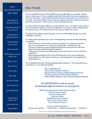*Board of Directors 2021-2022*

> *PRESIDENT Amanda Podeschi*

*VICE PRESIDENT Darrel Parish*

*SECRETARY Brandy Robinson*

*TREASURER Tami Crouch*

*Shane Brandel*

*RSVP Representative, Patty Cain*

*Wally Carlson*

*Jade Cothern*

*Leslie Risby*

*Kim Stahl*

*Marianne Taylor*

*Karla Thornton*

*Jean Wollenberg*

*To thank those who served:*

*Jason Butterick*

*David Webb*

## *Dear Friends: Dove*

**We were in disbelief when the March 2020 Community Breakfast, was canceled - the first event we had to cancel. We were saddened when the Shelter had to be closed, something we had never seen before. Staff worked remotely from home and provided services the best way we could. It was hard to believe when our partner agencies, churches, and business partners had to close their doors. Like everyone, we have our Pandemic Story.** 

**As much as things changed suddenly, so much stayed the same - our response to the needs of the community, our response to homeless individuals, our response to those seeking domestic violence services. We continued to meet the surge in requests for services.**

**We adapted, then adapted again, and again. And we are still making changes to meet the challenges of each day.**

**It is with cautious optimism that we have started planning events for the fall and looking toward 2022.** 

**•Please follow our social media or send us your email so we can keep you posted to the events and programs you can become involved with - dove@doveinc.org. •We have an impressive group of dedicated staff, both seasoned and new, who have** 

**all been learning together through this pandemic.**

**•All program services are functioning again, not as before, but as we can to do what is needed now.**

**•Renewing partnerships has been slow and steady and in some cases starting from the ground level as other agencies, businesses, and congregations are managing their many changes too.**

**We are thankful to be open, thriving, adapting and providing care. We are grateful you are our partners as we are all in this together.**

> **Dove Leadership Team Tamara Wilcox, Executive Director Darsonya Switzer, Homeward Bound Program Director Teri Ducy, Domestic Violence Program Director Barbara Blakey, Volunteers and Community Relations Director**

### *Our RESPONSE to needs are met by the dedicated staff and volunteers in our programs:*

*BABES, Beginning Awareness Basic Education Studies Domestic Violence Program Dove Financial Assistance Homeward Bound Neighborhood Services Program Retired & Senior Volunteer Program Senior Companion Program*

*Community Outreach Programs Christmas Care & Share* **•** *Coats for Kids!* **•** *Children's Clothing Room* **•** *Food Pantry*

please see our website for additional information | doveinc.org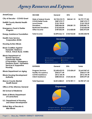

| <b>INCOME</b>                     | General        | <b>DFA</b>     | <b>Totals</b>  |
|-----------------------------------|----------------|----------------|----------------|
| <b>State &amp; Federal Grants</b> |                |                | \$2,797,771.83 |
| <b>COVID Relief Funds</b>         | \$387,573.77   |                | \$387,573.77   |
| <b>Local Grants</b>               | \$132,190.59   |                | \$132,190.59   |
| <b>Donations</b>                  | \$300,406.00   | \$98,081.75    | \$398,487.75   |
| <b>Restricted Donations</b>       | \$132,033.00   |                | \$132,033.00   |
| Other income                      | \$189,052.04   | \$13,420.00    | \$202,472.04   |
| <b>Total income</b>               | \$3,894,566.13 | \$155,962.85   | \$4,050,528.98 |
|                                   |                | \$2,753,310.73 | \$44,461.10    |

**Health Care Service Corporation-BCBS**

**Housing Action Illinois**

**llinois Coalition Against Domestic Violence- VOCA, VOCA Rural, VAWA**

**Illinois Department of Human Services- Community Health & Prevention / Emergency Solutions Grant / Homeless Services & Supportive Housing**

**Illinois Department on Aging**

**Illinois Housing Development Authority**

**Macon County Mental Health Board**

**Office of the Attorney General**

**SIU School of Medicine**

**State of Illinois-Department of Corrections**

- **U.S. Department of Housing and Urban Development**
- **United Way of Decatur & Mid-Illinois**



| <b>Program Services</b>   | \$2,658,622.93 | \$10,424.69  | \$2,669,047.62 |
|---------------------------|----------------|--------------|----------------|
| <b>Facility Occupancy</b> | \$360,671.44   |              | \$360,671.44   |
| <b>COVID Assistance</b>   | \$413,154.78   |              | \$413,154.78   |
| <b>Client Assistance</b>  | \$380,035.26   | \$164,362.42 | \$544,397.68   |
| <b>Total Expenses</b>     | \$3,812,484.41 | \$174,787.11 | \$3,987,271.52 |

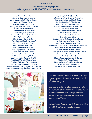### *Thanks to our Dove Member Congregations who we join in our RESPONSE to the needs in our communities.*

*Argenta Presbyterian Church Central Christian Church, Decatur Christ United Methodist Church, Decatur Christian Church of Illiopolis Church of the Brethren, Decatur Church of the Living God C.W.F.F., Decatur Clinton Presbyterian Church Clinton United Methodist Church Community of Christ, Decatur Farmer City United Methodist Church First Baptist Church, Decatur First Christian Church, Bethany First Christian Church, Blue Mound First Christian Church, Clinton First Christian Church, Decatur First Christian Church, Sullivan First Congregational UCC, Decatur First Lutheran Church, Decatur First Presbyterian Church, Decatur First Presbyterian Church, Monticello First Presbyterian Church, Shelbyville First United Methodist Church, Decatur First United Methodist Church, Sullivan Grace United Methodist Church, Decatur Greater Northside Missionary Baptist Church, Decatur Greek Orthodox Church of the Annunciation, Decatur*

*Holy Family Catholic Church, Decatur Illini Congregational Church of Warrensburg Lampstand Presbyterian Church, Decatur Life Builder's Church of God, Decatur Long Creek United Methodist Church Mount Zion Missionary Baptist Church, Decatur Mt. Zion Presbyterian Church New Day Community Church, Decatur Niantic Christian Church Niantic United Methodist Church Oreana Christian Church Our Lady of Lourdes Catholic Church, Decatur Our Lady of the Holy Spirit, Mt. Zion Prairie Avenue Christian Church, Decatur Prairieview Parish, Elwin, Macon and Zion Chapel UMC Saints James and Patrick Parish, Decatur St. John's Episcopal Church, Decatur St. Peter African Methodist Episcopal Church, Decatur St. Thomas Catholic Church, Decatur Sharon United Methodist Church, Decatur Shiloh Missionary Baptist Church, Decatur Trinity CME Church, Decatur Unitarian Universalist Fellowship, Decatur Weldon United Methodist Church Westminster Presbyterian Church, Decatur*



*One week in the Domestic Violence children support group, children in the Shelter made 'all about me' posters.* 

*Sometimes children who have grown up in a domestic violence environment have many internalized fears and feelings that have been a result of what they have witnessed, both seen and heard.* 

*Art activities have shown to be one way they are able to safely express themselves.*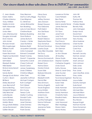## *Our sincere thanks to those who choose Dove to IMPACT our communities July 1, 2020 - June 30, 2021*

C. Jean Aberle Karen Adkins Charles Ahlenius Vicky Ahlfield Nabila Al-Amin Keith Alexander Jan Allen Linda Allen Larry Altenbaumer Douglas Antonelli Erwin Arends John Armer Richard Arnold Rita Augsburger Williene Austin Nicki Auten Karen Bachman Virginia Sue Backstein Karen Baird Seth Baker Elizabeth Barker Nikki Barker Richie & Sandy Barnett Patty Barr Sandy Barter George &Judy Batson Curtis C. Beam Bill Beck Shirley Beckhart Joan Bennyhoff Donna Benting Margaret Bergen Sally Betscher Lorrie Beyda Laura Bickers Danny Binkley Marilyn Black Doug & Barb Blakey James Bondurant SuEllen Brauer

Gary Brennan Matt & Cathy Briggs Carol Brigman G.I. Brinkman James Brinkoetter Ken Broeking Larry & Carol Brown Christine Bryak Barbara Buesking Grant Bullock James Burtschi Carolyn J. Butler Jason Butterick Barbara Byrkit Jacqueline Calamello Anita Campbell Edward Campbell Robert Carney David F. Carpenter Samantha Carroll Cheryl Cathcart David Catron James Cederberg Linda Childress Christine Milligan Atter Clark Jeanette Coffman Michael Corrigan Ruth Cortright Pat Cribbet Tami Crouch Kim Crump Teresa Curtis Marilyn Cushing Donald Custin Brad Damery Janet Damery Linda Damery Mike Damery Frank Davies

Olivia Davis Paul Davis Jeffrey Davison Jerry Dawson Robert Dawson Paul Debruine Patti Delich Ann Del Rosso Alvin Dial Ann Dickens Robert Disbrow Stephanie Dixson Gay Donahue Richard Donahue Loretta Doyle Mary Ellen Drysdale Teri Ducy Delores Dudas Devona Dummermuth John & Barbara Dunn Robert Dunn Norma Eaton Gordon Eckols Susan Edie Barbara Edwards R.D. Elder Elizabeth Smith Dennis Eller Nina Emmons Tammy Engerth Tracie England Anna Entrikin Matthew Erwin Linda Evans Sandra L. Fair Cynthia Farrington Norma Fathauer Orla Ferguson Jeanenne Ferrie Dick Fiala

Lawrence Fichter Carol Fishbein Bea Fisher Donna Fisher Mark & Jeanette Flenner James Fletcher Rita Florey T.R. Flynn Janet Ford Judy Ford Joanne Forrest Paul Francis Michele Galloway Dave Geibel Jim German Beth Glen Jo Ann Glosser Jill Goatley Diane Godin Stephen Goetter Catherine Gogerty Linda Good Kathy Graves Dean & Janet Gray Jane Gucker Delores Hack Paul & Maryrose Hagenbach Beverly Haikalis Karen Hale Jaclin Hall Molly Hammer Mary Handley Sandy Harmison Charlotte Harris Rosalind Harris Terri Haskins Judy Haywood Ellen Hazelrigg Sharon Heinz Mona Hickey

John Hill Kathy Hill Thomas Hill Patricia Hine Charles Hippler Beverly Holly John Holmgren Evelyn Hood David Horn Thomas Hostettler Terry Howley Alice Huebner Cheri Hunter Lionel Hunter Carol Huss T.S. Jackson Kenneth Jacoby Norman Jensen Mary Jessup Marti Johnson Vicki Johnson Dale Jones Della Jones Fran Jones Jean MacRae Jones Gary Jostes Rachel Joy Joyce Keller Dorothy Kemper Susie Kensil Samuel Kershaw Michael Kiley Michael Killam Joyce Kirkland Brenner Klenzman Roy Kleven Raquel Knight Norman Kocher Dana Korneman Lawrence Krall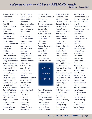Margaret Kransberger Kevin Kriesel Everett Kuhn Annette Lane Paul Lidy Sandra Lindberg Barb Lanier Joan Lappin Cheryl Lehman Liz Lehman Homer Leoucis Carole LePage Norman Lienemann Jean Long Katy Lovell Bob Low Calvin Lunny Carolyn Mackins Marilyn Madden Craig Mandernach Maurice Mannlein Billiemarie Marshall Susan Marshall Nancy Born Martin Sally Mathieson Russell McCann Doug McCarthy Paul McChancy Sharon McChancy Pat McDaniel Virginia McDonald Danny McGlade Mark McGlasson Caleb McGregor Phyllis McPherron Virginia McQuistion Cathy A. Meadows Lori Mellon Jessica Michael Arthur Michaels

Ruth Milhauser Bob & Jo Miller Cheryl Miller Dorothy Miller Stephen M. Miller Joan Mochel Bridget Moecker Emily Moore Jean Moore Shirley Moore Robert A. Mooth Nancy Mueller Lowell Mulvany Lucy Murphy Leslie Mussman Jon Nadler Doug Nicholson Lesley Nicholson Dennis Noland Jeanelle Norman B. Kay Nunn Christina O'Brien Judy Oettel Marilyn Oftedal Lawrence Olson Darla Otis Jeffrey & Rose Overleese Shirley Paceley Edward Paine Miley Palmer Darrel Parish Dhirendra Patel Patricia Cain John Pedigo Jerry Pelz Kathy Pepper Larry Pepper Hazel Perry Nancy Peterson Phyllis Pickett

Robert Pickett R.J. & Mandi Podeschi Joe Pound Nancy Prather Emma Prendergast Donna Pressley Sandy Pritts Joe Puckett Norma Quintenz Barbara Redford Carol Reed Vivian Reed Ed Reedy Robert Richardson Terry Richter Leslie Risby Linda Ritter Tom Ritter Carmen Rivera Brandy Robinson

> **VISION IMPACT RESPONSE**

Raquel Rodriquez Susan Rohman Jim Romano Paul Rosenberger Shirley Rosenbery Dorothy Rueff Coral Ruffner Michael Rynd Gloria Sadowski

Kimberly Schafer Mark Schleeter Bill Schoeneberg Jennifer Rae Schroeder Elizabeth Schultetus Jay Seaberg James Shasteen Jude Shawabkeh Alta Shivers Marilyn Shroyer Janet Sickbert Erin Siegrist Sushant Sinha Jennifer Skorzak Chris Smith Marilyn Smith Mark Sorensen Fred Spannaus Angela Sphar Jeffrey Stahl Steve & Kim Stahl Dorothy Stiles Tanessa Stinebaker William Strohl Katherine Strompolis Daniel William Suver Ted & Darsonya Switzer Jade Marie Tate Jonnie Taylor Josh Tenny Sally Thicksten Judy Thistlethwaite Robert Ticknor Connie Tish Jake Tolbert Jennifer Tolladay Lola Travis Debby Trump Annette Turner Dan Tutko

Flora Twyman Rebecca Underwood Mark Vandermyde Deborah Vanzant Rea Virt Paulette Waddell Carolyn Wagner-Turner Carol Waller Lynn Walsh Corey Walton Marsha Warmoth Pat Watts Paul Wayne Peter Wayne Deborah Webb James Webb Dave Weber Kris Weber Todd Weber Albert Weidlich Gary Weiss James Welch Evelyn Wentworth Marsha White Jack Wickline Angie Williams Charlie Williams Mickey Wilmot Scott Windhorst Karen Witts Jean Wollenberg Merle Wood Victoria Wooten Sue Yarnell Barbara Yobski Andrew Young Ellen Young Rosella Young Tanya Young Betty Zeaman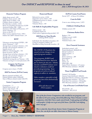## *Our IMPACT and RESPONSE to those in need July 1, 2020 through June 30, 2021*

#### **Domestic Violence Program**

Adult clients served | 699 Children clients served | 109 Adult clients in shelter | 128 Children clients in shelter | 82 Provided days in shelter |3,936 Hours of counseling and advocacy | 12,589 Answered hotline calls | 3,806 Assistance with Orders of Protection |377 Active volunteers |31 Active in this FY | 5 Direct service volunteer hours | 438.5 Indirect & CADV volunteer hours | 24

#### **RSVP**

Volunteers serving during COVID | 189 Active Volunteers | 325 Average hours served per volunteer | 134 Average jobs served per volunteer | 3 Stations served | 42 Different volunteering jobs | 116 Hours of service |28,770 Average hours served per volunteer | 152 Average jobs served per volunteer | 2 Average age of volunteers | 76 Volunteers serving who are Veterans | 13% Volunteers serving at 2 or more placements|72%

## **Coupons for Overseas Military Families**

Coupons sent to bases| 375,000

#### **2020 Tax Season, DeWitt County**

Returns prepared and filed |157 Federal refunds totaled |\$186,028 State of Illinois refunds totaled |\$21,976

#### **Senior Companion Program**

Companions | 3 Stipend hours served | 65 Service miles shared | 98 Training Hours Completed | 60

#### **Homeward Bound**

Referrals for service |2,942 Supportive service clients | 620 Unduplicated services to clients | 11,008 Volunteers | 11 Volunteer Hours | 185

#### **Life Skills & Employability Program**

Clients served | 124 Completed clients|41 Client weeks of apprenticeship provided| 319

> **2020 Point-in-Time Results** (utilizing HUD critiera)

Individuals who identified as homeless | 83 Living in emergency shelters |43 Identified as being chronically homeless |<sup>28</sup> **Dove Financial Assistance**

#### *The COVID-19 Pandemic has caused extreme changes to our typical program numbers.*

*Two programs, BABES and Neighborhood Services, had to be put on hiatus for the year. Schools, churches and RSVP stations were closed so volunteers could not provide programming. Some programs served in a reduced capacity to adhere to mandates.*

*Other numbers, especially in help given out, have been dramatically increased.* 

> *All in all, these are our FY21 numbers.*

#### **DeWitt County Food Pantry**

Served |877 - of those, 214 children

#### **Coats for Kids!**

Coats to area clothing rooms | 1,872

#### **Children's Clothing Room**

Children served |539

#### **Christmas Basket Drive**

Baskets | 779 Children served | 2,099 Volunteers | 52 Volunteer hours | 538

Individuals assisted | 655 Funds distributed |\$100,095.22 Dental vouchers|4 Hotel vouchers | 2  $MISC$  | 7 Power assistance | 289 Prescriptions | 5 Rent | 18 Vision |13 Water bills | 368 Senior Power Assistance | 67 seniors SPA Monetary assistance | \$10,000

#### **Ameren Warm Neighbors Cool Friends**

Assisted | 103 families Ameren funds distributed | \$28,814 Fresh Start Electric assistance | 92 families FSE Monetary assistance | \$17,919 Fresh Start Gas assistance | 84 families FSG Monetary assistance | \$12,161

#### **City of Decatur Covid Relief Grant**

Households | 24 Assistance | \$45,319.22

*One of the first Senior Companions who enrolled in our program, and the oldest at 85 years young, shared the following "Since I became a senior companion, I feel like I have made some friends. I enjoy going and talking with peoples, it helps me to get out of the house. I feel like I am helping others my age."* 

*This is what the AmeriCorps Seniors Senior Companion Program at Dove, Inc. can do for our older Americans in Macon County.*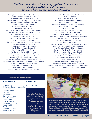## *Our Thanks to the Dove Member Congregations, Area Churches, Sunday School Classes and Ministries for Supporting Programs with their Donations.*

Boiling Springs Women's Ministries - Decatur Central Christian Church - Decatur Christian Women's Fellowship - Illiopolis Christian Women's Fellowship, FCC - Blue Mound Christian Church Outreach - Allenville Church of the Brethren - Decatur Church of Jesus Christ - Sullivan Clinton Presbyterian Church Concordia Lutheran Church-Ladies Guild - Decatur Crestview Christian Church (closure donation) Decatur First United Methodist Church Fellowship Church - Decatur First United Presybyterian Church - Leroy First Baptist Church - Decatur First Baptist Church Bibles and Friends - Decatur First Christian Church - Decatur First Christian Church - Blue Mound First Christian Church - Shelbyville First Church of God - Lovington First Congregational UCC - Decatur First Evangelical Lutheran Church - Decatur First Presbyterian Church - Decatur First Presbyterian Church - Monticello First United Methodist Church-UM Women - Decatur First United Methodist Church-Covenant Class - Decatur First United Methodist Church - Sullivan Forsyth United Methodist Church Foursquare Church - Decatur Garver Brick UM Church Women - Decatur

Grace United Methodist Church - Decatur GT Church - Decatur Holy Family Parish - Decatur Holy Cross Lutheran Church - Decatur Illiopolis Christian Church Imboden Gardens Worship Group - Decatur Kenney Christian Church Life Center of Sullivan Life Builders Church of God - Decatur Macon Methodist Men's Fellowship Memorial Presbyterian Church - Assumption Meridian Community Church of God - Blue Mound Mt. Zion Presbyterian Church New Vision Urban Ministries - Decatur Niantic Christian Church Presbyterian Women of Westminster Presbyterian Church Saints James and Patrick Parish - Decatur Sharon United Methodist Church - Decatur Shelbyville First Church of The Nazarene St. Thomas The Apostle Church - Decatur St. Mary's Facility Team/Colleagues - Decatur St. John's Episcopal Church - Decatur Stonington United Methodist Church Sullivan Church of God United Methodist Women - Argenta Westminster Presbyterian Church - Decatur Women's Fellowship Illini Congregational UCC - Warrensburg Zion Chapel United Methodist Church - Boody

## *In Loving Recognition*

#### **In Memorial To:**

Eddie and Celeste Applegate

Jean Aberle

John Davis Debra Gremo Jack Hill Rozanne Karr Dorothy Kemper Harry Kemper Laurie Lovell Marille Moody Raymond Batman

Helen Stahl Phil Wise

Blanche I. Wolfe Helen & Elaine

**In Honor of:**

Robert Ticknor

*Our thanks to those who donated through a fundraiser, who donated items, or whose United Way pledge supported our programs.*



*It's tough to be a little kid staying in a shelter. It's just not the same as being at home – especially on your birthday. Dove Domestic Violence Program's children's staff members do their best to make birthdays special for children staying in shelter. They provide decorations, birthday cakes, ice cream, and gifts so that parents can make their children's birthdays memorable.*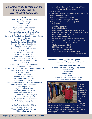## *Our Thanks for the Support from our Community Partners, Corporations & Foundations*

ADM Alpha Chi Omega Foundation, Inc. Alpha Chi Omega Amazon Smiles Andreas Foundation AYCO Charitable Foundation Beaumanoir Commandery Charities Aid Foundation of America-CAF Clinton Community Schools Community Foundation of Decatur Macon County Cornbelt Energy Decatur CAT Retirees Club Decatur High School-Class of 1951 Decatur Earthmover Credit Union Decatur Psychiatry, LTD Decatur Public Library Employees Edward Jones Energy Assistance Foundation Fraternal Order of Eagles Grace UMC Economy Shop Health Care Service Corporation Heritage Behavioral Health Center IBEW Local #146 Illinois Prairie Community Foundation James Millikin Trust Laborers International Union Of N. America-Local 159 Law Offices of Suzanne J.Wells, P.C. MCK CPA's & Advisors Network for Good Northeast Community Fund Novel Ideas Books and Gifts Old North State Trust, LLC Order of the Eastern Star, St. Mary's Chapter #65 Parsons School Social Committee PEO Chapter MH Raymond James-Busey Ryan Family Farm Partnership Scott State Bank-Bethany St. Mary's Facility team/colleagues Staley Family Charitable Trust T.S. & Juanita Balance Foundation TCCI Manufacturing, LLC TS Ballance Trust United Way of Decatur & MID IL Vanguard Charitable Warner Hospital & Health Services Whinnery Foundation

**2021 Macon County Continuum of Care Governing Board Members \*City of Decatur \*Community Investment Corporation of Decatur (CICD) \*Decatur Housing Authority (DHA) \*Dove, Inc. (Collaborative Applicant) \*Empowerment Opportunity Center (EOC) \*Heritage Behavioral Health Center (HBHC) Baby TALK Crossing Healthcare Decatur Public Library Decatur Public Schools, District 61 (DPS 61) Department of Children and Family Services (DCFS) God's Shelter of Love (GSOL) Good Samaritan Inn (GSI) Homeless/Formerly Homeless Representative Macon County Mental Health Board (MCMHB) Northeast Community Fund (NECF) The Salvation Army (TSA) HSHS St. Mary's Hospital Water Street Mission (WSM) Workforce Investment Solutions (WIS)** *\*Original Agencies*

### **Donations from our supporters through the Community Foundation of Macon County**

We Are One Community Fund Drs. Mary McGrath and Perry Guaglianone Mary Bablock Joyce Reeve Brian Townsend Lucy Smith In Honor of Sheth Family - suggested by Sudhakar and Meena Sheth



*Coats for Kids coats availability was just one of the ways we adapted to COVID restrictions. We love supporting* 

*the many area clothing rooms with free coats to share with their clients. As clothing rooms shut down due to COVID, we gave away more than 500 coats to those receiving the Christmas Baskets in Decatur.*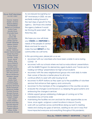# VISION

#### *Dove Staff Members As of 8/11/2021*

*Tyonna Adams Nabila Al-Amin Barbara Blakey Shantell Brady Rebecca Comstock Anita Currie Kendra Davis Charvelle Dees Teri Ducy LeAnn Ellis Sara Ganiere Ashley Garner Charlie Gillaspsie Melissa Girardi Tracey Green Holly Gulick Shane Hartman Lauren Henrichsmeyer Jamie Houchins Carissa Howell Jennifer Jostes Susan Kensil Kristina King Joyce Kirkland Sandy Laesch Annette Lane Elizabeth Mackey Jalisa McClennon Kim McCormick Micah McElmurry Madelyn Meyer Mary Miller Hayley Nash Thalassa Peck Chynna Shields Daciena Simmons Phyllis Swinehart Darsonya Switzer Cynthia Thomas Tenaria Thomas Jennifer Tolladay Joseph Vargas Vicki Veech Kathy Walters Kendra Warnsley Donald Weaver Tamara Wilcox Angela Williams Kelsey Wolfe Chalanda Woods*

As we enjoyed recognizing our 50<sup>th</sup> Anniversary in 2020, we are excitedly looking forward to the next steps of growth for the agency. Did those who started the agency believe it would be thriving 50 years later? We think they did.

We hope you now will share your **VISION** and **RESPONSE** to needs of the people of central Illinois and look for ways to make the best **IMPACT** on the communities we call home.



In this upcoming year, please join us as we:

- reconnect with our volunteers who have been unable to serve during COVID - 19
- reconnect with our schools where we had our educational presentations with the BABES Program for elementary aged students and "hands are for holding not hitting" presentations for high school students
- reconnect with the area neighborhood groups who work daily to make their corner of Decatur a better place for all to live
- continue efforts to assist with safe housing for all
- reconnect to RSVP stations as they open up to the possibilities of volunteer services that enhance their agency and community
- reconnect to the members of the congregations in the counties we serve
- evaluate the changes Covid forced on us, keeping the good systems and embracing the changes in services
- initiate support groups addressing challenges of coming out of the mandated stay at home order
- maintaining the facilities we own and look for other opportunities as we have, once again, outgrown current locations in Macon County
- work with our partners across central Illinois doing our part in meeting needs and closing any gaps of services, assisting as we can in ways that have impacted everyone and everything throughout this pandemic.